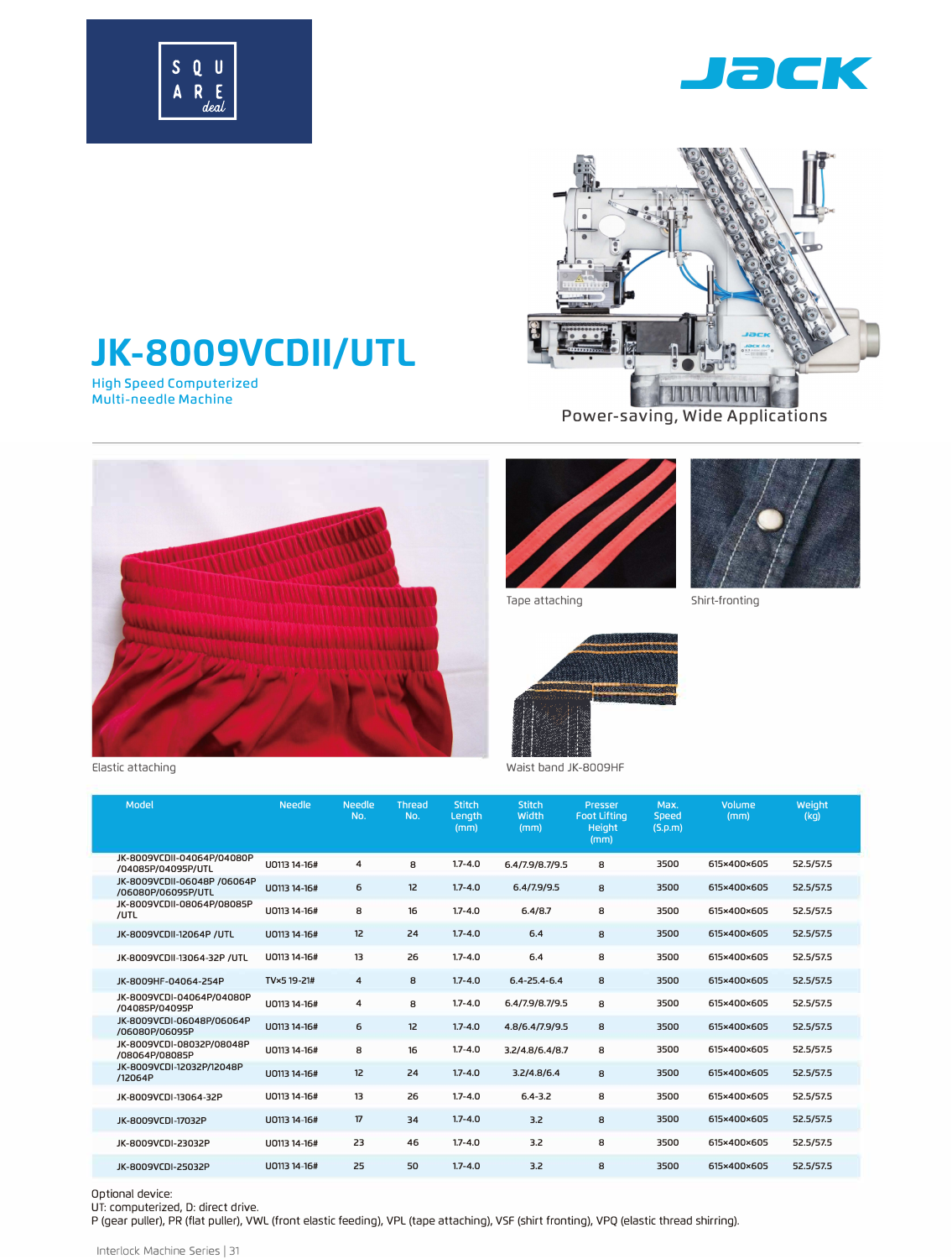





**Power-saving, Wide Applications** 



**JK-8009VCDII/UTL** 

**High Speed Computerized Multi-needle Machine** 



Tape attaching



Shirt-fronting



| Model                                             | <b>Needle</b> | <b>Needle</b><br>No. | <b>Thread</b><br>No. | <b>Stitch</b><br>Length<br>(mm) | <b>Stitch</b><br>Width<br>(mm) | Presser<br><b>Foot Lifting</b><br><b>Height</b><br>(mm) | Max.<br>Speed<br>(S.p.m) | Volume<br>(mm) | Weight<br>(kg) |
|---------------------------------------------------|---------------|----------------------|----------------------|---------------------------------|--------------------------------|---------------------------------------------------------|--------------------------|----------------|----------------|
| JK-8009VCDII-04064P/04080P<br>/04085P/04095P/UTL  | U0113 14-16#  | $\overline{4}$       | 8                    | $1.7 - 4.0$                     | 6.4/7.9/8.7/9.5                | 8                                                       | 3500                     | 615×400×605    | 52.5/57.5      |
| JK-8009VCDII-06048P /06064P<br>/06080P/06095P/UTL | U0113 14-16#  | 6                    | 12                   | $1.7 - 4.0$                     | 6.4/7.9/9.5                    | 8                                                       | 3500                     | 615×400×605    | 52.5/57.5      |
| JK-8009VCDII-08064P/08085P<br>/UTL                | U0113 14-16#  | 8                    | 16                   | $1.7 - 4.0$                     | 6.4/8.7                        | 8                                                       | 3500                     | 615×400×605    | 52.5/57.5      |
| JK-8009VCDII-12064P /UTL                          | U0113 14-16#  | 12                   | 24                   | $1.7 - 4.0$                     | 6.4                            | 8                                                       | 3500                     | 615×400×605    | 52.5/57.5      |
| JK-8009VCDII-13064-32P /UTL                       | U0113 14-16#  | 13                   | 26                   | $1.7 - 4.0$                     | 6.4                            | 8                                                       | 3500                     | 615×400×605    | 52.5/57.5      |
| JK-8009HF-04064-254P                              | TV×5 19-21#   | $\overline{4}$       | 8                    | $1.7 - 4.0$                     | $6.4 - 25.4 - 6.4$             | 8                                                       | 3500                     | 615×400×605    | 52.5/57.5      |
| JK-8009VCDI-04064P/04080P<br>/04085P/04095P       | U0113 14-16#  | $\overline{4}$       | 8                    | $1.7 - 4.0$                     | 6.4/7.9/8.7/9.5                | 8                                                       | 3500                     | 615×400×605    | 52.5/57.5      |
| JK-8009VCDI-06048P/06064P<br>/06080P/06095P       | U0113 14-16#  | 6                    | 12                   | $1.7 - 4.0$                     | 4.8/6.4/7.9/9.5                | 8                                                       | 3500                     | 615×400×605    | 52.5/57.5      |
| JK-8009VCDI-08032P/08048P<br>/08064P/08085P       | U0113 14-16#  | 8                    | 16                   | $1.7 - 4.0$                     | 3.2/4.8/6.4/8.7                | 8                                                       | 3500                     | 615×400×605    | 52.5/57.5      |
| JK-8009VCDI-12032P/12048P<br>/12064P              | U0113 14-16#  | 12                   | 24                   | $1.7 - 4.0$                     | 3.2/4.8/6.4                    | 8                                                       | 3500                     | 615×400×605    | 52.5/57.5      |
| JK-8009VCDI-13064-32P                             | U0113 14-16#  | 13                   | 26                   | $1.7 - 4.0$                     | $6.4 - 3.2$                    | 8                                                       | 3500                     | 615×400×605    | 52.5/57.5      |
| JK-8009VCDI-17032P                                | U0113 14-16#  | 17                   | 34                   | $1.7 - 4.0$                     | 3.2                            | 8                                                       | 3500                     | 615×400×605    | 52.5/57.5      |
| JK-8009VCDI-23032P                                | U0113 14-16#  | 23                   | 46                   | $1.7 - 4.0$                     | 3.2                            | 8                                                       | 3500                     | 615×400×605    | 52.5/57.5      |
| JK-8009VCDI-25032P                                | U0113 14-16#  | 25                   | 50                   | $1.7 - 4.0$                     | 3.2                            | 8                                                       | 3500                     | 615×400×605    | 52.5/57.5      |

## Optional device:

UT: computerized, D: direct drive.

P (gear puller), PR (flat puller), VWL (front elastic feeding), VPL (tape attaching), VSF (shirt fronting), VPQ (elastic thread shirring).